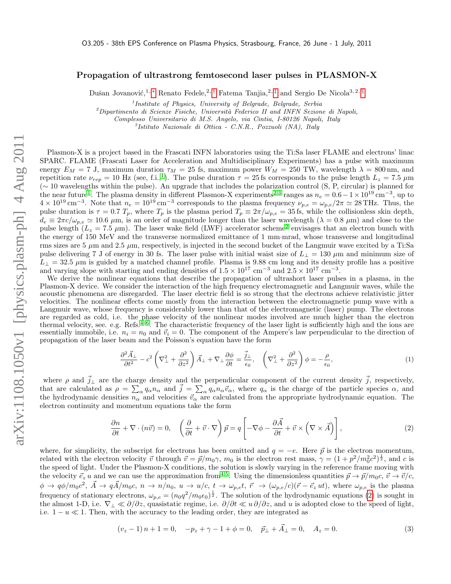## Propagation of ultrastrong femtosecond laser pulses in PLASMON-X

Dušan Jovanović,<sup>1, [∗](#page-2-0)</sup> Renato Fedele,<sup>2,[†](#page-2-1)</sup> Fatema Tanjia,<sup>2,[‡](#page-2-2)</sup> and Sergio De Nicola<sup>3,2, [§](#page-2-3)</sup>

<sup>1</sup>Institute of Physics, University of Belgrade, Belgrade, Serbia

 $^{2}$ Dipartimento di Scienze Fisiche, Università Federico II and INFN Sezione di Napoli,

Complesso Universitario di M.S. Angelo, via Cintia, I-80126 Napoli, Italy

3 Istituto Nazionale di Ottica - C.N.R., Pozzuoli (NA), Italy

Plasmon-X is a project based in the Frascati INFN laboratories using the Ti:Sa laser FLAME and electrons' linac SPARC. FLAME (Frascati Laser for Acceleration and Multidisciplinary Experiments) has a pulse with maximum energy  $E_M = 7$  J, maximum duration  $\tau_M = 25$  fs, maximum power  $W_M = 250$  TW, wavelength  $\lambda = 800$  nm, and repetition rate  $\nu_{rep} = 10$  $\nu_{rep} = 10$  $\nu_{rep} = 10$  Hz (see, f.i.,<sup>1</sup>). The pulse duration  $\tau = 25$  fs corresponds to the pulse length  $L_z = 7.5 \mu m$ (∼ 10 wavelengths within the pulse). An upgrade that includes the polarization control (S, P, circular) is planned for the near future<sup>[1](#page-2-4)</sup>. The plasma density in different Plasmon-X experiments<sup>[2,](#page-2-5)[3](#page-2-6)</sup> ranges as  $n_e = 0.6 - 1 \times 10^{19}$  cm<sup>-3</sup>, up to  $4 \times 10^{19}$  cm<sup>-3</sup>. Note that  $n_e = 10^{19}$  cm<sup>-3</sup> corresponds to the plasma frequency  $\nu_{p,e} = \omega_{p,e}/2\pi \simeq 28$  THz. Thus, the pulse duration is  $\tau = 0.7 T_p$ , where  $T_p$  is the plasma period  $T_p \equiv 2\pi/\omega_{p,e} = 35$  fs, while the collisionless skin depth,  $d_e \equiv 2\pi c/\omega_{p,e} \simeq 10.6 \mu$ m, is an order of magnitude longer than the laser wavelength  $(\lambda = 0.8 \mu m)$  and close to the pulse length  $(L_z = 7.5 \mu m)$ . The laser wake field (LWF) accelerator scheme<sup>[2](#page-2-5)</sup> envisages that an electron bunch with the energy of 150 MeV and the transverse normalized emittance of 1 mm·mrad, whose transverse and longitudinal rms sizes are 5  $\mu$ m and 2.5  $\mu$ m, respectively, is injected in the second bucket of the Langmuir wave excited by a Ti:Sa pulse delivering 7 J of energy in 30 fs. The laser pulse with initial waist size of  $L_{\perp} = 130 \ \mu \text{m}$  and minimum size of  $L_{\perp} = 32.5 \mu m$  is guided by a matched channel profile. Plasma is 9.88 cm long and its density profile has a positive and varying slope with starting and ending densities of  $1.5 \times 10^{17}$  cm<sup>-3</sup> and  $2.5 \times 10^{17}$  cm<sup>-3</sup>.

We derive the nonlinear equations that describe the propagation of ultrashort laser pulses in a plasma, in the Plasmon-X device. We consider the interaction of the high frequency electromagnetic and Langmuir waves, while the acoustic phenomena are disregarded. The laser electric field is so strong that the electrons achieve relativistic jitter velocities. The nonlinear effects come mostly from the interaction between the electromagnetic pump wave with a Langmuir wave, whose frequency is considerably lower than that of the electromagnetic (laser) pump. The electrons are regarded as cold, i.e. the phase velocity of the nonlinear modes involved are much higher than the electron thermal velocity, see. e.g. Refs.<sup>[4](#page-2-7)[–6](#page-2-8)</sup>. The characteristic frequency of the laser light is sufficiently high and the ions are essentially immobile, i.e.  $n_i = n_0$  and  $\vec{v}_i = 0$ . The component of the Ampere's law perpendicular to the direction of propagation of the laser beam and the Poisson's equation have the form

<span id="page-0-1"></span>
$$
\frac{\partial^2 \vec{A}_{\perp}}{\partial t^2} - c^2 \left( \nabla_{\perp}^2 + \frac{\partial^2}{\partial z^2} \right) \vec{A}_{\perp} + \nabla_{\perp} \frac{\partial \phi}{\partial t} = \frac{\vec{j}_{\perp}}{\epsilon_0}, \quad \left( \nabla_{\perp}^2 + \frac{\partial^2}{\partial z^2} \right) \phi = -\frac{\rho}{\epsilon_0},\tag{1}
$$

where  $\rho$  and  $\vec{j}_\perp$  are the charge density and the perpendicular component of the current density  $\vec{j}$ , respectively, that are calculated as  $\rho = \sum_{\alpha} \alpha_{\alpha} n_{\alpha}$  and  $\vec{j} = \sum_{\alpha} \alpha_{\alpha} n_{\alpha} \vec{v}_{\alpha}$ , where  $\alpha_{\alpha}$  is the charge of the particle species  $\alpha$ , and the hydrodynamic densities  $n_{\alpha}$  and velocities  $\vec{v}_{\alpha}$  are calculated from the appropriate hydrodynamic equation. The electron continuity and momentum equations take the form

<span id="page-0-0"></span>
$$
\frac{\partial n}{\partial t} + \nabla \cdot (n\vec{v}) = 0, \quad \left(\frac{\partial}{\partial t} + \vec{v} \cdot \nabla\right) \vec{p} = q \left[ -\nabla \phi - \frac{\partial \vec{A}}{\partial t} + \vec{v} \times \left(\nabla \times \vec{A}\right) \right],\tag{2}
$$

where, for simplicity, the subscript for electrons has been omitted and  $q = -e$ . Here  $\vec{p}$  is the electron momentum, related with the electron velocity  $\vec{v}$  through  $\vec{v} = \vec{p}/m_0\gamma$ ,  $m_0$  is the electron rest mass,  $\gamma = (1 + p^2/m_0^2c^2)^{\frac{1}{2}}$ , and c is the speed of light. Under the Plasmon-X conditions, the solution is slowly varying in the reference frame moving with the velocity  $\vec{e}_z u$  and we can use the approximation from<sup>[4,](#page-2-7)[5](#page-2-9)</sup>. Using the dimensionless quantities  $\vec{p} \to \vec{p}/m_0c$ ,  $\vec{v} \to \vec{v}/c$ ,  $\phi \to q\phi/m_0c^2$ ,  $\vec{A} \to q\vec{A}/m_0c$ ,  $n \to n/n_0$ ,  $u \to u/c$ ,  $t \to \omega_{p,e}t$ ,  $\vec{r} \to (\omega_{p,e}/c)(\vec{r}-\vec{e}_z ut)$ , where  $\omega_{p,e}$  is the plasma frequency of stationary electrons,  $\omega_{p,e} = (n_0 q^2/m_0 \epsilon_0)^{\frac{1}{2}}$ . The solution of the hydrodynamic equations [\(2\)](#page-0-0) is sought in the almost 1-D, i.e.  $\nabla_1 \ll \partial/\partial z$ , quasistatic regime, i.e.  $\partial/\partial t \ll u \partial/\partial z$ , and u is adopted close to the speed of light, i.e.  $1 - u \ll 1$ . Then, with the accuracy to the leading order, they are integrated as

$$
(v_z - 1) n + 1 = 0, \quad -p_z + \gamma - 1 + \phi = 0, \quad \vec{p}_{\perp} + \vec{A}_{\perp} = 0, \quad A_z = 0. \tag{3}
$$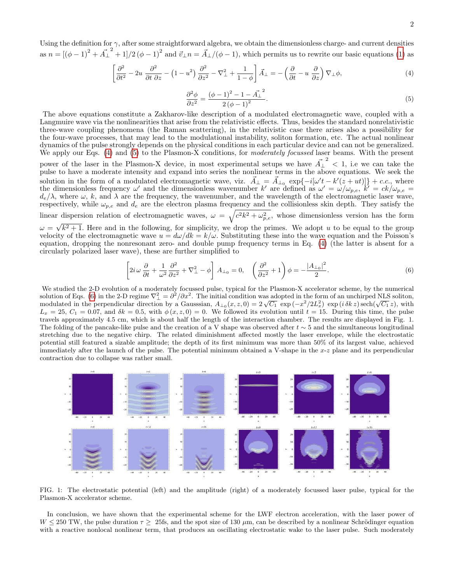Using the definition for  $\gamma$ , after some straightforward algebra, we obtain the dimensionless charge- and current densities as  $n = [(\phi - 1)^2 + \overrightarrow{A_1}^2 + 1]/2(\phi - 1)^2$  and  $\overrightarrow{v}_\perp n = \overrightarrow{A}_\perp/(\phi - 1)$ , which permits us to rewrite our basic equations [\(1\)](#page-0-1) as

<span id="page-1-0"></span>
$$
\left[\frac{\partial^2}{\partial t^2} - 2u \frac{\partial^2}{\partial t \partial z} - \left(1 - u^2\right) \frac{\partial^2}{\partial z^2} - \nabla_\perp^2 + \frac{1}{1 - \phi}\right] \vec{A}_\perp = -\left(\frac{\partial}{\partial t} - u \frac{\partial}{\partial z}\right) \nabla_\perp \phi,\tag{4}
$$

<span id="page-1-1"></span>
$$
\frac{\partial^2 \phi}{\partial z^2} = \frac{(\phi - 1)^2 - 1 - \vec{A_1}^2}{2(\phi - 1)^2}.
$$
\n(5)

The above equations constitute a Zakharov-like description of a modulated electromagnetic wave, coupled with a Langmuire wave via the nonlinearities that arise from the relativistic effects. Thus, besides the standard nonrelativistic three-wave coupling phenomena (the Raman scattering), in the relativistic case there arises also a possibility for the four-wave processes, that may lead to the modulational instability, soliton formation, etc. The actual nonlinear dynamics of the pulse strongly depends on the physical conditions in each particular device and can not be generalized. We apply our Eqs. [\(4\)](#page-1-0) and [\(5\)](#page-1-1) to the Plasmon-X conditions, for *moderately focussed* laser beams. With the present

power of the laser in the Plasmon-X device, in most experimental setups we have  $\overrightarrow{A_{\perp}}^2$  < 1, i.e we can take the pulse to have a moderate intensity and expand into series the nonlinear terms in the above equations. We seek the solution in the form of a modulated electromagnetic wave, viz.  $\vec{A}_{\perp} = \vec{A}_{\perp_0} \exp\{-i[\omega' t - k'(z + ut)]\} + c.c.,$  where the dimensionless frequency  $\omega'$  and the dimensionless wavenumber k' are defined as  $\omega' = \omega/\omega_{p,e}$ ,  $k' = ck/\omega_{p,e}$  $d_e/\lambda$ , where  $\omega$ , k, and  $\lambda$  are the frequency, the wavenumber, and the wavelength of the electromagnetic laser wave, respectively, while  $\omega_{p,e}$  and  $d_e$  are the electron plasma frequency and the collisionless skin depth. They satisfy the

linear dispersion relation of electromagnetic waves,  $\omega = \sqrt{c^2 k^2 + \omega_{p,e}^2}$ , whose dimensionless version has the form

 $\omega = \sqrt{k^2 + 1}$ . Here and in the following, for simplicity, we drop the primes. We adopt u to be equal to the group velocity of the electromagnetic wave  $u = d\omega/dk = k/\omega$ . Substituting these into the wave equation and the Poisson's equation, dropping the nonresonant zero- and double pump frequency terms in Eq. [\(4\)](#page-1-0) (the latter is absent for a circularly polarized laser wave), these are further simplified to

<span id="page-1-2"></span>
$$
\left[2i\,\omega\,\frac{\partial}{\partial t} + \frac{1}{\omega^2}\frac{\partial^2}{\partial z^2} + \nabla_\perp^2 - \phi\right]A_{\perp_0} = 0, \quad \left(\frac{\partial^2}{\partial z^2} + 1\right)\phi = -\frac{|A_{\perp_0}|^2}{2}.\tag{6}
$$

We studied the 2-D evolution of a moderately focussed pulse, typical for the Plasmon-X accelerator scheme, by the numerical solution of Eqs. [\(6\)](#page-1-2) in the 2-D regime  $\nabla_{\perp}^2 = \frac{\partial^2}{\partial x^2}$ . The initial condition was adopted in the form of an unchirped NLS soliton, solution of Eqs. (b) in the 2-D regime  $V_{\perp} = \sigma^2/\sigma x^2$ . The initial condition was adopted in the form of an unchirped NLS soliton, modulated in the perpendicular direction by a Gausssian,  $A_{\perp_0}(x, z, 0) = 2\sqrt{C_1} \exp(-x$  $L_x = 25$ ,  $C_1 = 0.07$ , and  $\delta k = 0.5$ , with  $\phi(x, z, 0) = 0$ . We followed its evolution until  $t = 15$ . During this time, the pulse travels approximately 4.5 cm, which is about half the length of the interaction chamber. The results are displayed in Fig. 1. The folding of the pancake-like pulse and the creation of a V shape was observed after  $t \sim 5$  and the simultaneous longitudinal stretching due to the negative chirp. The related diminishment affected mostly the laser envelope, while the electrostatic potential still featured a sizable amplitude; the depth of its first minimum was more than 50% of its largest value, achieved immediately after the launch of the pulse. The potential minimum obtained a V-shape in the x-z plane and its perpendicular contraction due to collapse was rather small.



FIG. 1: The electrostatic potential (left) and the amplitude (right) of a moderately focussed laser pulse, typical for the Plasmon-X accelerator scheme.

In conclusion, we have shown that the experimental scheme for the LWF electron acceleration, with the laser power of  $W \leq 250$  TW, the pulse duration  $\tau \geq 25$ fs, and the spot size of 130  $\mu$ m, can be described by a nonlinear Schrödinger equation with a reactive nonlocal nonlinear term, that produces an oscillating electrostatic wake to the laser pulse. Such moderately